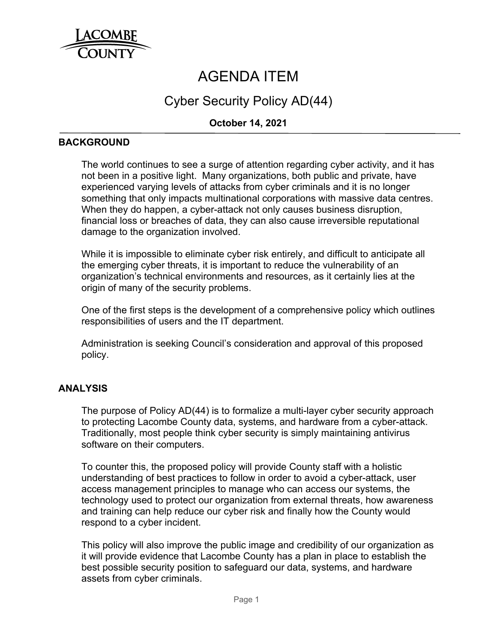

# AGENDA ITEM

## Cyber Security Policy AD(44)

### **October 14, 2021**

#### **BACKGROUND**

The world continues to see a surge of attention regarding cyber activity, and it has not been in a positive light. Many organizations, both public and private, have experienced varying levels of attacks from cyber criminals and it is no longer something that only impacts multinational corporations with massive data centres. When they do happen, a cyber-attack not only causes business disruption, financial loss or breaches of data, they can also cause irreversible reputational damage to the organization involved.

While it is impossible to eliminate cyber risk entirely, and difficult to anticipate all the emerging cyber threats, it is important to reduce the vulnerability of an organization's technical environments and resources, as it certainly lies at the origin of many of the security problems.

One of the first steps is the development of a comprehensive policy which outlines responsibilities of users and the IT department.

Administration is seeking Council's consideration and approval of this proposed policy.

#### **ANALYSIS**

The purpose of Policy AD(44) is to formalize a multi-layer cyber security approach to protecting Lacombe County data, systems, and hardware from a cyber-attack. Traditionally, most people think cyber security is simply maintaining antivirus software on their computers.

To counter this, the proposed policy will provide County staff with a holistic understanding of best practices to follow in order to avoid a cyber-attack, user access management principles to manage who can access our systems, the technology used to protect our organization from external threats, how awareness and training can help reduce our cyber risk and finally how the County would respond to a cyber incident.

This policy will also improve the public image and credibility of our organization as it will provide evidence that Lacombe County has a plan in place to establish the best possible security position to safeguard our data, systems, and hardware assets from cyber criminals.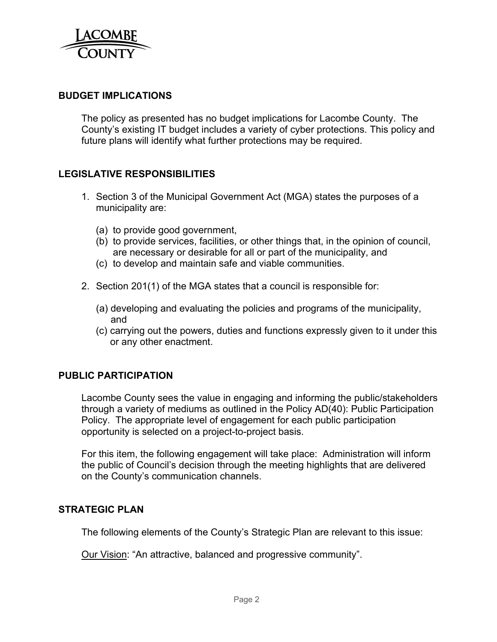

#### **BUDGET IMPLICATIONS**

The policy as presented has no budget implications for Lacombe County. The County's existing IT budget includes a variety of cyber protections. This policy and future plans will identify what further protections may be required.

#### **LEGISLATIVE RESPONSIBILITIES**

- 1. Section 3 of the Municipal Government Act (MGA) states the purposes of a municipality are:
	- (a) to provide good government,
	- (b) to provide services, facilities, or other things that, in the opinion of council, are necessary or desirable for all or part of the municipality, and
	- (c) to develop and maintain safe and viable communities.
- 2. Section 201(1) of the MGA states that a council is responsible for:
	- (a) developing and evaluating the policies and programs of the municipality, and
	- (c) carrying out the powers, duties and functions expressly given to it under this or any other enactment.

#### **PUBLIC PARTICIPATION**

Lacombe County sees the value in engaging and informing the public/stakeholders through a variety of mediums as outlined in the Policy AD(40): Public Participation Policy. The appropriate level of engagement for each public participation opportunity is selected on a project-to-project basis.

For this item, the following engagement will take place: Administration will inform the public of Council's decision through the meeting highlights that are delivered on the County's communication channels.

#### **STRATEGIC PLAN**

The following elements of the County's Strategic Plan are relevant to this issue:

Our Vision: "An attractive, balanced and progressive community".